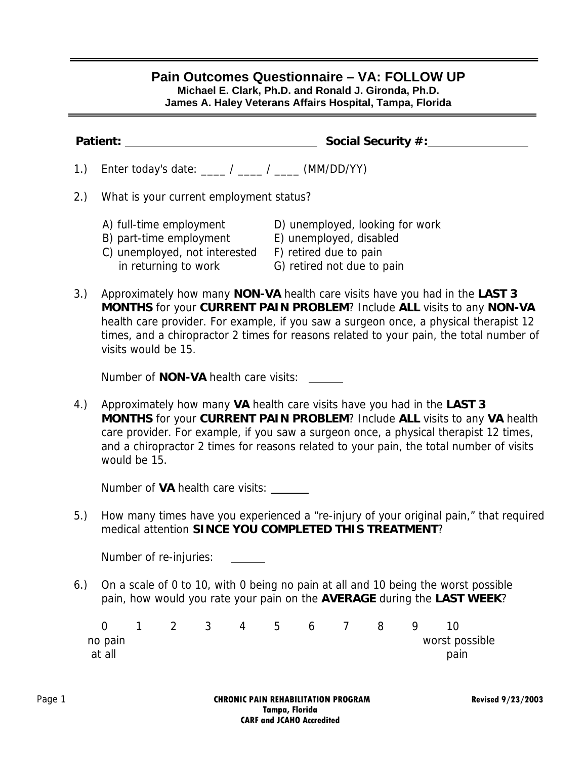## **Pain Outcomes Questionnaire – VA: FOLLOW UP**

**Michael E. Clark, Ph.D. and Ronald J. Gironda, Ph.D.** 

**James A. Haley Veterans Affairs Hospital, Tampa, Florida** 

|     | Social Security #:<br>Patient: _                                                                                                                                                                                                                                                                                                                                 |  |  |  |  |  |  |  |  |  |
|-----|------------------------------------------------------------------------------------------------------------------------------------------------------------------------------------------------------------------------------------------------------------------------------------------------------------------------------------------------------------------|--|--|--|--|--|--|--|--|--|
| 1.) | Enter today's date: ____ / ____ / ____ (MM/DD/YY)                                                                                                                                                                                                                                                                                                                |  |  |  |  |  |  |  |  |  |
| 2.) | What is your current employment status?                                                                                                                                                                                                                                                                                                                          |  |  |  |  |  |  |  |  |  |
|     | A) full-time employment<br>D) unemployed, looking for work<br>B) part-time employment E) unemployed, disabled<br>C) unemployed, not interested<br>F) retired due to pain<br>in returning to work<br>G) retired not due to pain                                                                                                                                   |  |  |  |  |  |  |  |  |  |
| 3.) | Approximately how many NON-VA health care visits have you had in the LAST 3<br>MONTHS for your CURRENT PAIN PROBLEM? Include ALL visits to any NON-VA<br>health care provider. For example, if you saw a surgeon once, a physical therapist 12<br>times, and a chiropractor 2 times for reasons related to your pain, the total number of<br>visits would be 15. |  |  |  |  |  |  |  |  |  |
|     | Number of <b>NON-VA</b> health care visits:                                                                                                                                                                                                                                                                                                                      |  |  |  |  |  |  |  |  |  |
| 4.) | Approximately how many VA health care visits have you had in the LAST 3<br>MONTHS for your CURRENT PAIN PROBLEM? Include ALL visits to any VA health<br>care provider. For example, if you saw a surgeon once, a physical therapist 12 times,<br>and a chiropractor 2 times for reasons related to your pain, the total number of visits<br>would be 15.         |  |  |  |  |  |  |  |  |  |
|     | Number of VA health care visits: _______                                                                                                                                                                                                                                                                                                                         |  |  |  |  |  |  |  |  |  |
| 5.) | How many times have you experienced a "re-injury of your original pain," that required<br>medical attention SINCE YOU COMPLETED THIS TREATMENT?                                                                                                                                                                                                                  |  |  |  |  |  |  |  |  |  |
|     |                                                                                                                                                                                                                                                                                                                                                                  |  |  |  |  |  |  |  |  |  |
|     | Number of re-injuries:                                                                                                                                                                                                                                                                                                                                           |  |  |  |  |  |  |  |  |  |
| 6.) | On a scale of 0 to 10, with 0 being no pain at all and 10 being the worst possible<br>pain, how would you rate your pain on the AVERAGE during the LAST WEEK?                                                                                                                                                                                                    |  |  |  |  |  |  |  |  |  |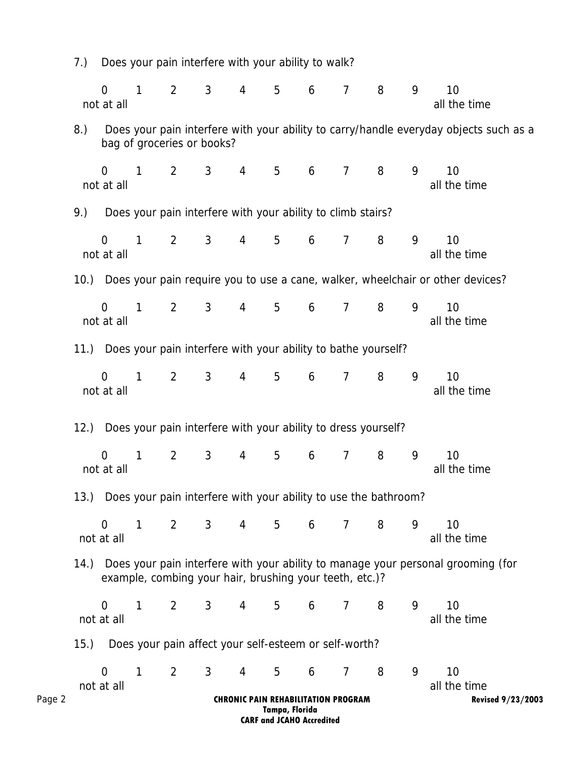|        | 7.)                                                                                                                                              | Does your pain interfere with your ability to walk? |              |                                                                      |                |                |                |                                            |                |   |   |                                                                                       |
|--------|--------------------------------------------------------------------------------------------------------------------------------------------------|-----------------------------------------------------|--------------|----------------------------------------------------------------------|----------------|----------------|----------------|--------------------------------------------|----------------|---|---|---------------------------------------------------------------------------------------|
|        |                                                                                                                                                  | $\Omega$<br>not at all                              | $\mathbf{1}$ | $\overline{2}$                                                       | 3              | 4              | 5              | 6                                          | $\overline{7}$ | 8 | 9 | 10<br>all the time                                                                    |
|        | 8.)                                                                                                                                              |                                                     |              | bag of groceries or books?                                           |                |                |                |                                            |                |   |   | Does your pain interfere with your ability to carry/handle everyday objects such as a |
|        |                                                                                                                                                  | $\Omega$<br>not at all                              | 1            | $\overline{2}$                                                       | 3              | 4              | 5              | 6                                          | $\overline{7}$ | 8 | 9 | 10<br>all the time                                                                    |
|        | 9.)                                                                                                                                              |                                                     |              | Does your pain interfere with your ability to climb stairs?          |                |                |                |                                            |                |   |   |                                                                                       |
|        |                                                                                                                                                  | $\Omega$<br>not at all                              | 1            | $\overline{2}$                                                       | 3              | $\overline{4}$ | 5              | 6                                          | $\overline{7}$ | 8 | 9 | 10<br>all the time                                                                    |
|        |                                                                                                                                                  |                                                     |              |                                                                      |                |                |                |                                            |                |   |   | 10.) Does your pain require you to use a cane, walker, wheelchair or other devices?   |
|        |                                                                                                                                                  | $\Omega$<br>not at all                              | 1            | $\overline{2}$                                                       | 3              | $\overline{4}$ | 5              | 6                                          | $\overline{7}$ | 8 | 9 | 10<br>all the time                                                                    |
|        |                                                                                                                                                  |                                                     |              | 11.) Does your pain interfere with your ability to bathe yourself?   |                |                |                |                                            |                |   |   |                                                                                       |
|        |                                                                                                                                                  | $\Omega$<br>not at all                              | 1            | $\overline{2}$                                                       | 3              | $\overline{4}$ | 5              | 6                                          | $\overline{7}$ | 8 | 9 | 10<br>all the time                                                                    |
|        | 12.                                                                                                                                              |                                                     |              | Does your pain interfere with your ability to dress yourself?        |                |                |                |                                            |                |   |   |                                                                                       |
|        |                                                                                                                                                  | $\overline{0}$<br>not at all                        | 1            | $\overline{2}$                                                       | $\mathbf{3}$   | 4              | 5              | 6                                          | $\overline{7}$ | 8 | 9 | 10<br>all the time                                                                    |
|        |                                                                                                                                                  |                                                     |              | 13.) Does your pain interfere with your ability to use the bathroom? |                |                |                |                                            |                |   |   |                                                                                       |
|        |                                                                                                                                                  | $\overline{0}$<br>not at all                        | 1            | $\overline{2}$                                                       | 3 <sup>7</sup> | 4              | 5 <sup>1</sup> | 6                                          | $\overline{7}$ | 8 | 9 | 10<br>all the time                                                                    |
|        | 14.) Does your pain interfere with your ability to manage your personal grooming (for<br>example, combing your hair, brushing your teeth, etc.)? |                                                     |              |                                                                      |                |                |                |                                            |                |   |   |                                                                                       |
|        |                                                                                                                                                  | $\overline{0}$<br>not at all                        | 1            | $\overline{2}$                                                       | 3 <sup>7</sup> | $4 \quad$      | 5 <sup>5</sup> | 6                                          | $\overline{7}$ | 8 | 9 | 10<br>all the time                                                                    |
|        | (15.)                                                                                                                                            |                                                     |              | Does your pain affect your self-esteem or self-worth?                |                |                |                |                                            |                |   |   |                                                                                       |
|        |                                                                                                                                                  | $\overline{0}$<br>not at all                        | $\mathbf{1}$ | $\overline{2}$                                                       | 3              | $\overline{4}$ | 5              | 6                                          | $\overline{7}$ | 8 | 9 | 10<br>all the time                                                                    |
| Page 2 |                                                                                                                                                  |                                                     |              |                                                                      |                |                | Tampa, Florida | <b>CHRONIC PAIN REHABILITATION PROGRAM</b> |                |   |   | <b>Revised 9/23/2003</b>                                                              |

**CARF and JCAHO Accredited**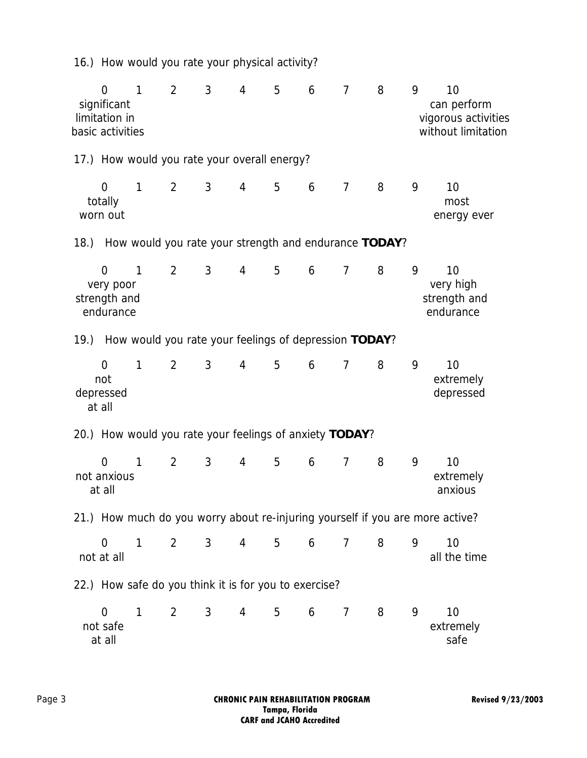16.) How would you rate your physical activity?

| $\overline{0}$<br>significant<br>limitation in<br>basic activities |           | $\mathbf{1}$ | $\overline{2}$                                        | 3              | 4              | 5 | 6 | $\overline{7}$ | 8 | 9 | 10<br>can perform<br>vigorous activities<br>without limitation                |
|--------------------------------------------------------------------|-----------|--------------|-------------------------------------------------------|----------------|----------------|---|---|----------------|---|---|-------------------------------------------------------------------------------|
| 17.) How would you rate your overall energy?                       |           |              |                                                       |                |                |   |   |                |   |   |                                                                               |
| $\overline{0}$<br>totally<br>worn out                              |           | 1            | $\overline{2}$                                        | $\mathbf{3}$   | $\overline{4}$ | 5 | 6 | $\overline{7}$ | 8 | 9 | 10<br>most<br>energy ever                                                     |
| 18.)                                                               |           |              | How would you rate your strength and endurance TODAY? |                |                |   |   |                |   |   |                                                                               |
| $\overline{0}$<br>strength and<br>endurance                        | very poor | $\mathbf{1}$ | $\overline{2}$                                        | $\mathfrak{Z}$ | $\overline{4}$ | 5 | 6 | $\overline{7}$ | 8 | 9 | 10<br>very high<br>strength and<br>endurance                                  |
| 19.) How would you rate your feelings of depression TODAY?         |           |              |                                                       |                |                |   |   |                |   |   |                                                                               |
| 0<br>not<br>depressed<br>at all                                    |           | 1            | $\overline{2}$                                        | 3              | 4              | 5 | 6 | $\overline{7}$ | 8 | 9 | 10<br>extremely<br>depressed                                                  |
| 20.) How would you rate your feelings of anxiety TODAY?            |           |              |                                                       |                |                |   |   |                |   |   |                                                                               |
| $\overline{0}$<br>not anxious<br>at all                            |           | 1            | $\overline{2}$                                        | 3              | 4              | 5 | 6 | $\overline{7}$ | 8 | 9 | 10<br>extremely<br>anxious                                                    |
|                                                                    |           |              |                                                       |                |                |   |   |                |   |   | 21.) How much do you worry about re-injuring yourself if you are more active? |
| $\overline{0}$<br>not at all                                       |           | 1            | $\overline{2}$                                        | 3              | 4              | 5 | 6 | 7              | 8 | 9 | 10<br>all the time                                                            |
| 22.) How safe do you think it is for you to exercise?              |           |              |                                                       |                |                |   |   |                |   |   |                                                                               |
| 0<br>not safe<br>at all                                            |           | 1            | $\overline{2}$                                        | 3              | 4              | 5 | 6 | 7              | 8 | 9 | 10<br>extremely<br>safe                                                       |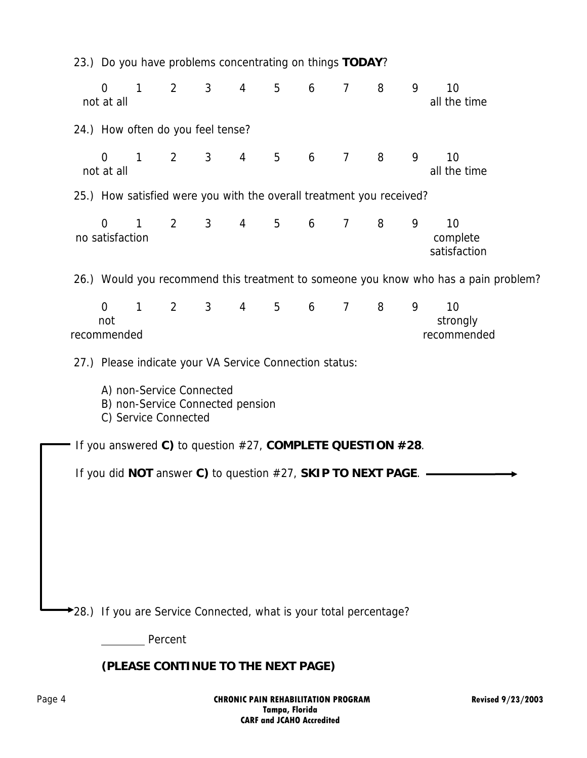| 23.) Do you have problems concentrating on things TODAY?                             |   |                                                                    |                |                |   |   |                |   |   |                                |  |
|--------------------------------------------------------------------------------------|---|--------------------------------------------------------------------|----------------|----------------|---|---|----------------|---|---|--------------------------------|--|
| $\overline{0}$<br>not at all                                                         | 1 | $\overline{2}$                                                     | $\mathbf{3}$   | $\overline{4}$ | 5 | 6 | $\overline{7}$ | 8 | 9 | 10<br>all the time             |  |
|                                                                                      |   | 24.) How often do you feel tense?                                  |                |                |   |   |                |   |   |                                |  |
| $\overline{0}$<br>not at all                                                         | 1 | $\overline{2}$                                                     | $\mathbf{3}$   | $\overline{4}$ | 5 | 6 | $\overline{7}$ | 8 | 9 | 10<br>all the time             |  |
| 25.) How satisfied were you with the overall treatment you received?                 |   |                                                                    |                |                |   |   |                |   |   |                                |  |
| $\Omega$<br>no satisfaction                                                          | 1 | $\overline{2}$                                                     | 3 <sup>1</sup> | $\overline{4}$ | 5 | 6 | $\overline{7}$ | 8 | 9 | 10<br>complete<br>satisfaction |  |
| 26.) Would you recommend this treatment to someone you know who has a pain problem?  |   |                                                                    |                |                |   |   |                |   |   |                                |  |
| $\overline{0}$<br>not<br>recommended                                                 | 1 | $\overline{2}$                                                     | $\mathbf{3}$   | $\overline{4}$ | 5 | 6 | $\overline{7}$ | 8 | 9 | 10<br>strongly<br>recommended  |  |
|                                                                                      |   | 27.) Please indicate your VA Service Connection status:            |                |                |   |   |                |   |   |                                |  |
| A) non-Service Connected<br>B) non-Service Connected pension<br>C) Service Connected |   |                                                                    |                |                |   |   |                |   |   |                                |  |
|                                                                                      |   | If you answered C) to question #27, COMPLETE QUESTION #28.         |                |                |   |   |                |   |   |                                |  |
|                                                                                      |   | If you did NOT answer C) to question #27, SKIP TO NEXT PAGE. -     |                |                |   |   |                |   |   |                                |  |
|                                                                                      |   |                                                                    |                |                |   |   |                |   |   |                                |  |
|                                                                                      |   |                                                                    |                |                |   |   |                |   |   |                                |  |
|                                                                                      |   |                                                                    |                |                |   |   |                |   |   |                                |  |
|                                                                                      |   |                                                                    |                |                |   |   |                |   |   |                                |  |
|                                                                                      |   | *28.) If you are Service Connected, what is your total percentage? |                |                |   |   |                |   |   |                                |  |
|                                                                                      |   | Percent                                                            |                |                |   |   |                |   |   |                                |  |
| (PLEASE CONTINUE TO THE NEXT PAGE)                                                   |   |                                                                    |                |                |   |   |                |   |   |                                |  |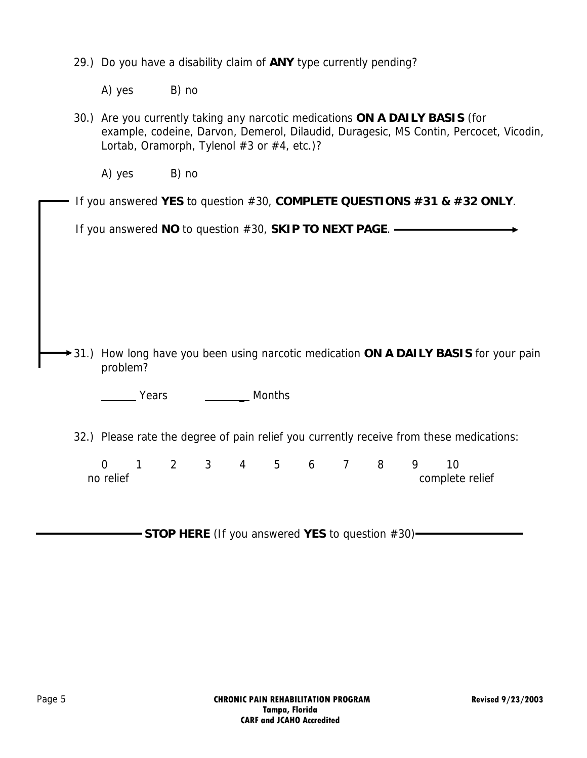29.) Do you have a disability claim of **ANY** type currently pending?

A) yes B) no

30.) Are you currently taking any narcotic medications **ON A DAILY BASIS** (for example, codeine, Darvon, Demerol, Dilaudid, Duragesic, MS Contin, Percocet, Vicodin, Lortab, Oramorph, Tylenol #3 or #4, etc.)?

A) yes B) no

If you answered **YES** to question #30, **COMPLETE QUESTIONS #31 & #32 ONLY**.

If you answered **NO** to question #30, **SKIP TO NEXT PAGE**.

31.) How long have you been using narcotic medication **ON A DAILY BASIS** for your pain problem?

Years Months

32.) Please rate the degree of pain relief you currently receive from these medications:

 0 1 2 3 4 5 6 7 8 9 10 no relief complete relief

**- STOP HERE** (If you answered YES to question #30)—